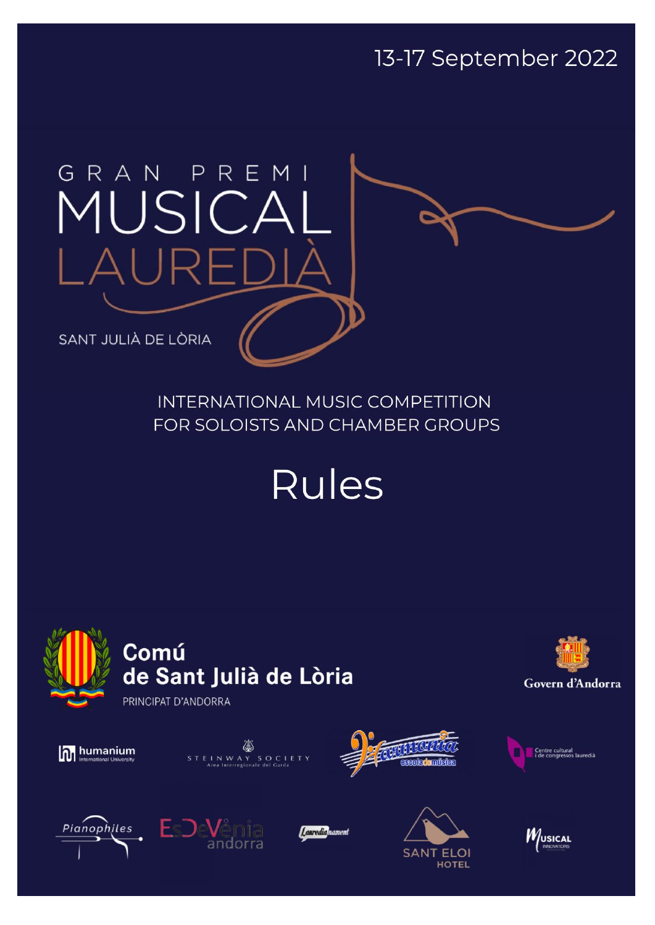13-17 September 2022

# GRAN PREM MUSICA  $\cup \mathsf{R}$

SANT JULIÀ DE LÒRIA

**INTERNATIONAL MUSIC COMPETITION** FOR SOLOISTS AND CHAMBER GROUPS

**Rules** 







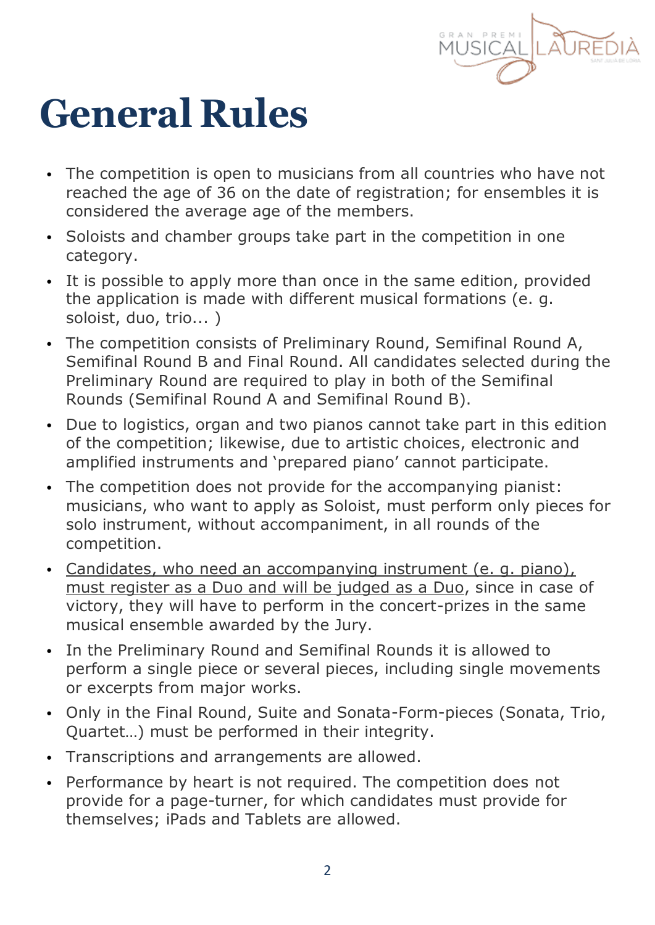

### **General Rules**

- The competition is open to musicians from all countries who have not reached the age of 36 on the date of registration; for ensembles it is considered the average age of the members.
- Soloists and chamber groups take part in the competition in one category.
- It is possible to apply more than once in the same edition, provided the application is made with different musical formations (e. g. soloist, duo, trio... )
- The competition consists of Preliminary Round, Semifinal Round A, Semifinal Round B and Final Round. All candidates selected during the Preliminary Round are required to play in both of the Semifinal Rounds (Semifinal Round A and Semifinal Round B).
- Due to logistics, organ and two pianos cannot take part in this edition of the competition; likewise, due to artistic choices, electronic and amplified instruments and 'prepared piano' cannot participate.
- The competition does not provide for the accompanying pianist: musicians, who want to apply as Soloist, must perform only pieces for solo instrument, without accompaniment, in all rounds of the competition.
- Candidates, who need an accompanying instrument (e. g. piano), must register as a Duo and will be judged as a Duo, since in case of victory, they will have to perform in the concert-prizes in the same musical ensemble awarded by the Jury.
- In the Preliminary Round and Semifinal Rounds it is allowed to perform a single piece or several pieces, including single movements or excerpts from major works.
- Only in the Final Round, Suite and Sonata-Form-pieces (Sonata, Trio, Quartet…) must be performed in their integrity.
- Transcriptions and arrangements are allowed.
- Performance by heart is not required. The competition does not provide for a page-turner, for which candidates must provide for themselves; iPads and Tablets are allowed.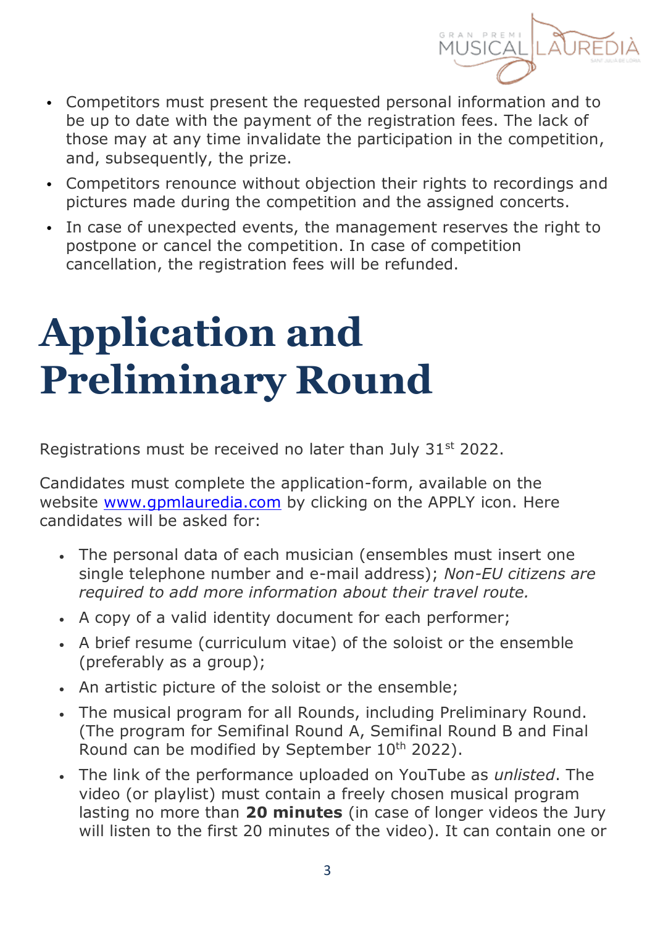

- Competitors must present the requested personal information and to be up to date with the payment of the registration fees. The lack of those may at any time invalidate the participation in the competition, and, subsequently, the prize.
- Competitors renounce without objection their rights to recordings and pictures made during the competition and the assigned concerts.
- In case of unexpected events, the management reserves the right to postpone or cancel the competition. In case of competition cancellation, the registration fees will be refunded.

### **Application and Preliminary Round**

Registrations must be received no later than July 31<sup>st</sup> 2022.

Candidates must complete the application-form, available on the website [www.gpmlauredia.com](https://gpmlauredia.com/en/www.gpmlauredia.com) by clicking on the APPLY icon. Here candidates will be asked for:

- The personal data of each musician (ensembles must insert one single telephone number and e-mail address); *Non-EU citizens are required to add more information about their travel route.*
- A copy of a valid identity document for each performer;
- A brief resume (curriculum vitae) of the soloist or the ensemble (preferably as a group);
- An artistic picture of the soloist or the ensemble;
- The musical program for all Rounds, including Preliminary Round. (The program for Semifinal Round A, Semifinal Round B and Final Round can be modified by September 10<sup>th</sup> 2022).
- The link of the performance uploaded on YouTube as *unlisted*. The video (or playlist) must contain a freely chosen musical program lasting no more than **20 minutes** (in case of longer videos the Jury will listen to the first 20 minutes of the video). It can contain one or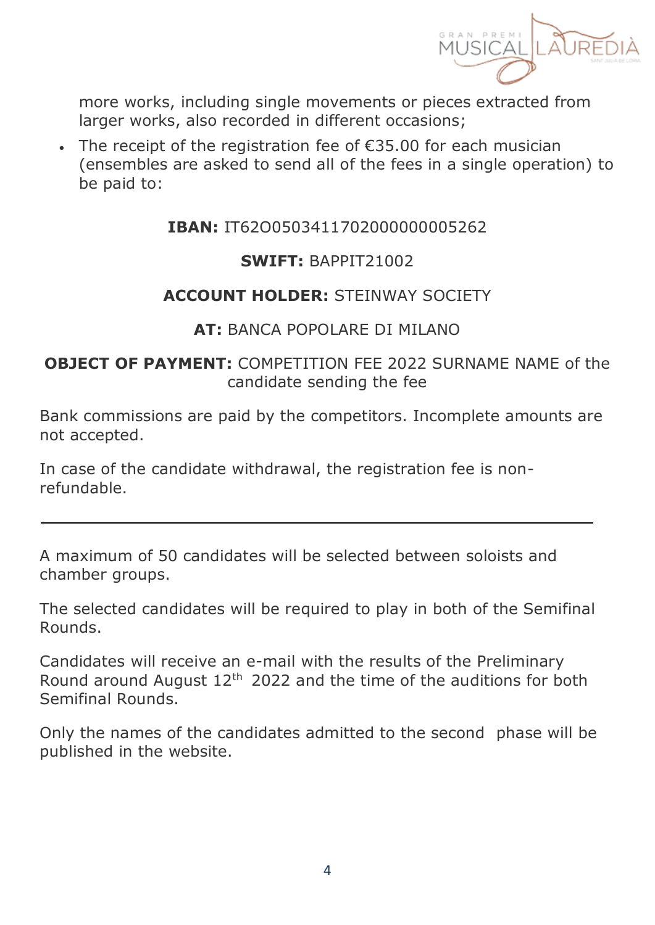

more works, including single movements or pieces extracted from larger works, also recorded in different occasions;

 The receipt of the registration fee of €35.00 for each musician (ensembles are asked to send all of the fees in a single operation) to be paid to:

#### **IBAN:** IT62O0503411702000000005262

#### **SWIFT:** BAPPIT21002

#### **ACCOUNT HOLDER:** STEINWAY SOCIETY

#### **AT:** BANCA POPOLARE DI MILANO

#### **OBJECT OF PAYMENT: COMPETITION FFF 2022 SURNAME NAME of the** candidate sending the fee

Bank commissions are paid by the competitors. Incomplete amounts are not accepted.

In case of the candidate withdrawal, the registration fee is nonrefundable.

A maximum of 50 candidates will be selected between soloists and chamber groups.

The selected candidates will be required to play in both of the Semifinal Rounds.

Candidates will receive an e-mail with the results of the Preliminary Round around August 12<sup>th</sup> 2022 and the time of the auditions for both Semifinal Rounds.

Only the names of the candidates admitted to the second phase will be published in the website.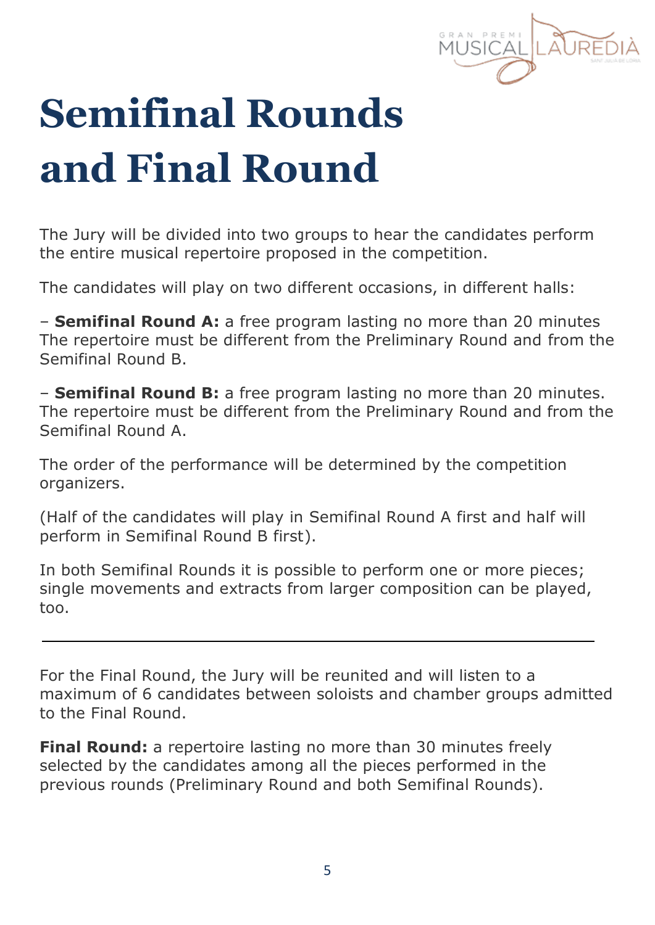## **Semifinal Rounds and Final Round**

The Jury will be divided into two groups to hear the candidates perform the entire musical repertoire proposed in the competition.

The candidates will play on two different occasions, in different halls:

– **Semifinal Round A:** a free program lasting no more than 20 minutes The repertoire must be different from the Preliminary Round and from the Semifinal Round B.

– **Semifinal Round B:** a free program lasting no more than 20 minutes. The repertoire must be different from the Preliminary Round and from the Semifinal Round A.

The order of the performance will be determined by the competition organizers.

(Half of the candidates will play in Semifinal Round A first and half will perform in Semifinal Round B first).

In both Semifinal Rounds it is possible to perform one or more pieces; single movements and extracts from larger composition can be played, too.

For the Final Round, the Jury will be reunited and will listen to a maximum of 6 candidates between soloists and chamber groups admitted to the Final Round.

**Final Round:** a repertoire lasting no more than 30 minutes freely selected by the candidates among all the pieces performed in the previous rounds (Preliminary Round and both Semifinal Rounds).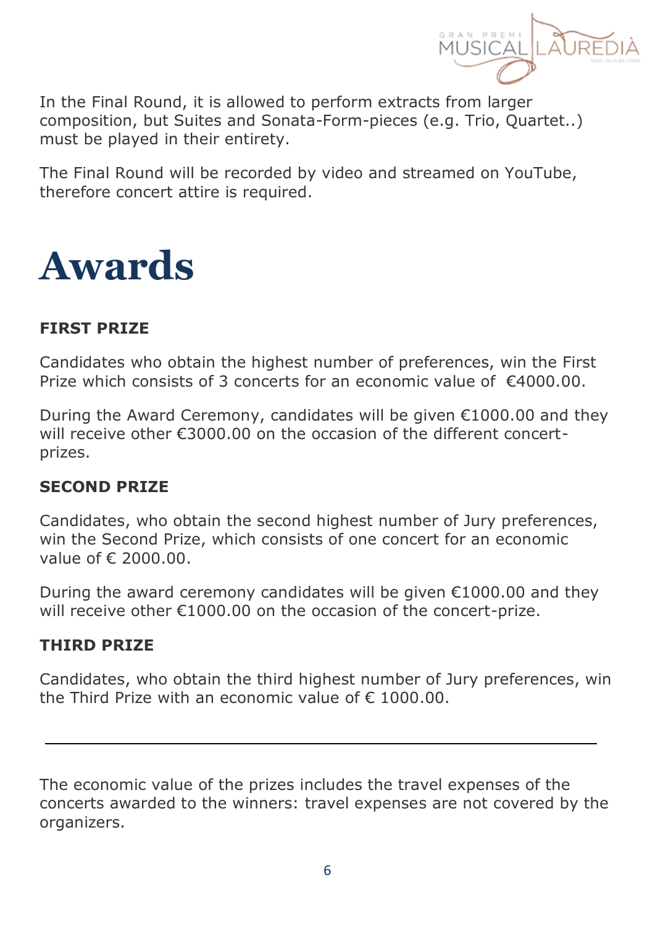

In the Final Round, it is allowed to perform extracts from larger composition, but Suites and Sonata-Form-pieces (e.g. Trio, Quartet..) must be played in their entirety.

The Final Round will be recorded by video and streamed on YouTube, therefore concert attire is required.



#### **FIRST PRIZE**

Candidates who obtain the highest number of preferences, win the First Prize which consists of 3 concerts for an economic value of  $f(4000.00)$ .

During the Award Ceremony, candidates will be given €1000.00 and they will receive other €3000.00 on the occasion of the different concertprizes.

#### **SECOND PRIZE**

Candidates, who obtain the second highest number of Jury preferences, win the Second Prize, which consists of one concert for an economic value of € 2000.00.

During the award ceremony candidates will be given  $£1000.00$  and they will receive other €1000.00 on the occasion of the concert-prize.

#### **THIRD PRIZE**

Candidates, who obtain the third highest number of Jury preferences, win the Third Prize with an economic value of  $\epsilon$  1000.00.

The economic value of the prizes includes the travel expenses of the concerts awarded to the winners: travel expenses are not covered by the organizers.